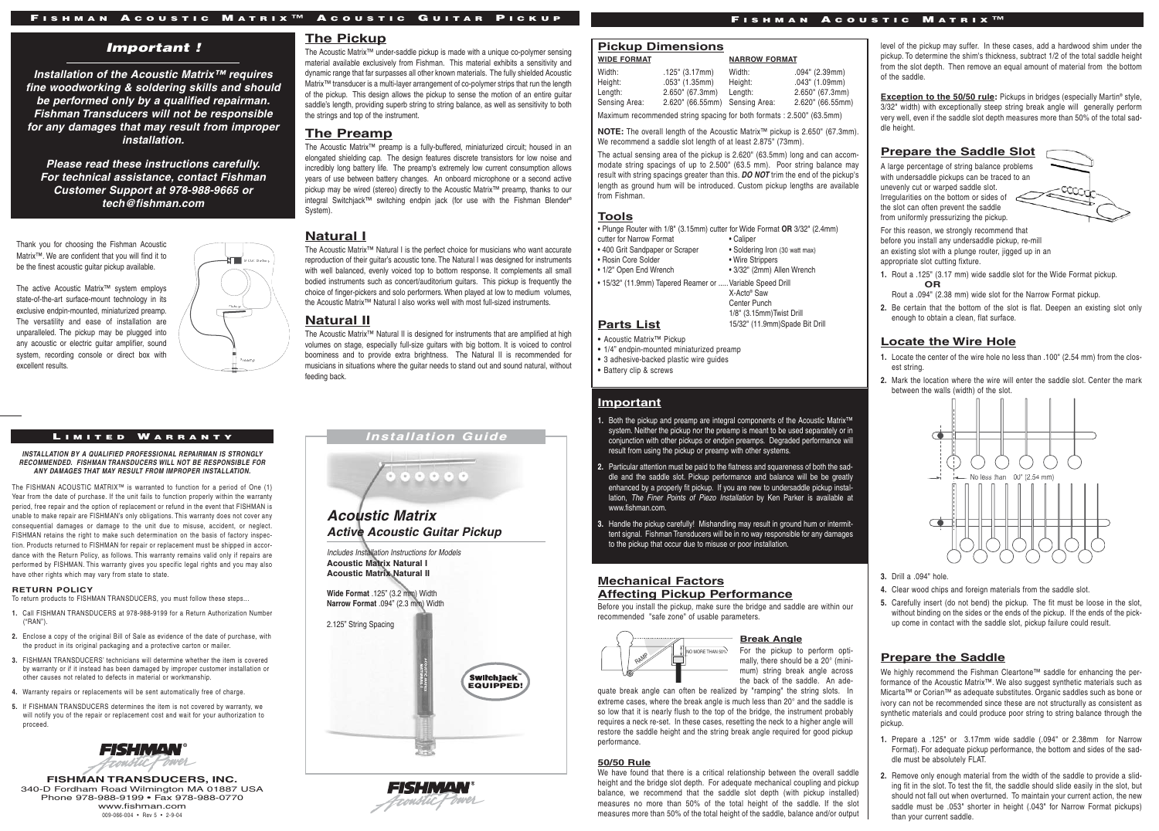# F ISHMAN A COUSTIC M ATRIX ™ A COUSTIC G UITAR P ICKUP F ISHMAN A COUSTIC M ATRIX ™

# *Important !*

9 Volt Battery

Pickup

Preamp

**Installation of the Acoustic Matrix™ requires fine woodworking & soldering skills and should be performed only by a qualified repairman. Fishman Transducers will not be responsible for any damages that may result from improper installation.**

**Please read these instructions carefully. For technical assistance, contact Fishman Customer Support at 978-988-9665 or tech@fishman.com**

Thank you for choosing the Fishman Acoustic Matrix™. We are confident that you will find it to be the finest acoustic guitar pickup available.

The active Acoustic Matrix™ system employs state-of-the-art surface-mount technology in its exclusive endpin-mounted, miniaturized preamp. The versatility and ease of installation are unparalleled. The pickup may be plugged into any acoustic or electric guitar amplifier, sound system, recording console or direct box with excellent results.

#### LIMITED WARRANTY

**INSTALLATION BY A QUALIFIED PROFESSIONAL REPAIRMAN IS STRONGLY RECOMMENDED. FISHMAN TRANSDUCERS WILL NOT BE RESPONSIBLE FOR ANY DAMAGES THAT MAY RESULT FROM IMPROPER INSTALLATION.**

The FISHMAN ACOUSTIC MATRIX™ is warranted to function for a period of One (1) Year from the date of purchase. If the unit fails to function properly within the warranty period, free repair and the option of replacement or refund in the event that FISHMAN is unable to make repair are FISHMAN's only obligations. This warranty does not cover any consequential damages or damage to the unit due to misuse, accident, or neglect. FISHMAN retains the right to make such determination on the basis of factory inspection. Products returned to FISHMAN for repair or replacement must be shipped in accordance with the Return Policy, as follows. This warranty remains valid only if repairs are performed by FISHMAN. This warranty gives you specific legal rights and you may also have other rights which may vary from state to state.

#### **RETURN POLICY**

To return products to FISHMAN TRANSDUCERS, you must follow these steps... **1.** Call FISHMAN TRANSDUCERS at 978-988-9199 for a Return Authorization Number

 $(^{\omega}$ RAN"). **2.** Enclose a copy of the original Bill of Sale as evidence of the date of purchase, with

- the product in its original packaging and a protective carton or mailer. **3.** FISHMAN TRANSDUCERS' technicians will determine whether the item is covered by warranty or if it instead has been damaged by improper customer installation or
- other causes not related to defects in material or workmanship. **4.** Warranty repairs or replacements will be sent automatically free of charge.
- **5.** If FISHMAN TRANSDUCERS determines the item is not covered by warranty, we will notify you of the repair or replacement cost and wait for your authorization to proceed.



**FISHMAN TRANSDUCERS, INC.** 340-D Fordham Road Wilmington MA 01887 USA Phone 978-988-9199 • Fax 978-988-0770 www.fishman.com 009-066-004 • Rev 5 • 2-9-04

#### **The Pickup**

The Acoustic Matrix™ under-saddle pickup is made with a unique co-polymer sensing material available exclusively from Fishman. This material exhibits a sensitivity and dynamic range that far surpasses all other known materials. The fully shielded Acoustic Matrix™ transducer is a multi-layer arrangement of co-polymer strips that run the length of the pickup. This design allows the pickup to sense the motion of an entire quitar saddle's length, providing superb string to string balance, as well as sensitivity to both the strings and top of the instrument.

# **The Preamp**

The Acoustic Matrix™ preamp is a fully-buffered, miniaturized circuit; housed in an elongated shielding cap. The design features discrete transistors for low noise and incredibly long battery life. The preamp's extremely low current consumption allows years of use between battery changes. An onboard microphone or a second active pickup may be wired (stereo) directly to the Acoustic Matrix™ preamp, thanks to our integral Switchiack™ switching endpin jack (for use with the Fishman Blender® System).

# **Natural I**

The Acoustic Matrix™ Natural I is the perfect choice for musicians who want accurate reproduction of their guitar's acoustic tone. The Natural I was designed for instruments with well balanced, evenly voiced top to bottom response. It complements all small bodied instruments such as concert/auditorium guitars. This pickup is frequently the choice of finger-pickers and solo performers. When played at low to medium volumes, the Acoustic Matrix™ Natural I also works well with most full-sized instruments.

#### **Natural II**

The Acoustic Matrix™ Natural II is designed for instruments that are amplified at high volumes on stage, especially full-size guitars with big bottom. It is voiced to control boominess and to provide extra brightness. The Natural II is recommended for musicians in situations where the guitar needs to stand out and sound natural, without feeding back.

### **Installation Guide**



**Active Acoustic Guitar Pickup**

**Wide Format** .125" (3.2 mm) Width **Narrow Format** .094" (2.3 mm) Width





# **Pickup Dimensions**

| <b>WIDE FORMAT</b>                                                   | <b>NARROW FORMAT</b>           |         |                   |
|----------------------------------------------------------------------|--------------------------------|---------|-------------------|
| Width:                                                               | $.125$ " (3.17mm)              | Width:  | $.094$ " (2.39mm) |
| Height:                                                              | $.053"$ (1.35mm)               | Height: | $.043$ " (1.09mm) |
| $L$ ength:                                                           | 2.650" (67.3mm)                | Lenath: | 2.650" (67.3mm)   |
| Sensing Area:                                                        | 2.620" (66.55mm) Sensing Area: |         | 2.620" (66.55mm)  |
| Maximum recommended string spacing for both formats: 2.500" (63.5mm) |                                |         |                   |

**NOTE:** The overall length of the Acoustic Matrix™ pickup is 2.650" (67.3mm). We recommend a saddle slot length of at least 2.875" (73mm).

The actual sensing area of the pickup is 2.620" (63.5mm) long and can accommodate string spacings of up to 2.500" (63.5 mm). Poor string balance may result with string spacings greater than this. **DO NOT** trim the end of the pickup's length as ground hum will be introduced. Custom pickup lengths are available from Fishman.

#### **Tools**

| • Plunge Router with 1/8" (3.15mm) cutter for Wide Format OR 3/32" (2.4mm)<br>cutter for Narrow Format<br>• 400 Grit Sandpaper or Scraper<br>· Rosin Core Solder<br>. 1/2" Open End Wrench | • Caliper<br>· Soldering Iron (30 watt max)<br>• Wire Strippers<br>• 3/32" (2mm) Allen Wrench          |
|--------------------------------------------------------------------------------------------------------------------------------------------------------------------------------------------|--------------------------------------------------------------------------------------------------------|
| • 15/32" (11.9mm) Tapered Reamer or  Variable Speed Drill<br>Parts List                                                                                                                    | X-Acto <sup>®</sup> Saw<br>Center Punch<br>1/8" (3.15mm) Twist Drill<br>15/32" (11.9mm)Spade Bit Drill |

• Acoustic Matrix™ Pickup

• 1/4" endpin-mounted miniaturized preamp

• 3 adhesive-backed plastic wire guides

• Battery clip & screws

#### **Important**

**1.** Both the pickup and preamp are integral components of the Acoustic Matrix™ system. Neither the pickup nor the preamp is meant to be used separately or in conjunction with other pickups or endpin preamps. Degraded performance will result from using the pickup or preamp with other systems.

- **2.** Particular attention must be paid to the flatness and squareness of both the saddle and the saddle slot. Pickup performance and balance will be be greatly enhanced by a properly fit pickup. If you are new to undersaddle pickup installation, The Finer Points of Piezo Installation by Ken Parker is available at www.fishman.com.
- **3.** Handle the pickup carefully! Mishandling may result in ground hum or intermittent signal. Fishman Transducers will be in no way responsible for any damages to the pickup that occur due to misuse or poor installation.

#### **Mechanical Factors Affecting Pickup Performance**

Before you install the pickup, make sure the bridge and saddle are within our recommended "safe zone" of usable parameters.



mally, there should be a 20° (minimum) string break angle across the back of the saddle. An adequate break angle can often be realized by "ramping" the string slots. In

extreme cases, where the break angle is much less than 20° and the saddle is so low that it is nearly flush to the top of the bridge, the instrument probably requires a neck re-set. In these cases, resetting the neck to a higher angle will restore the saddle height and the string break angle required for good pickup performance.

#### **50/50 Rule**

We have found that there is a critical relationship between the overall saddle height and the bridge slot depth. For adequate mechanical coupling and pickup balance, we recommend that the saddle slot depth (with pickup installed) measures no more than 50% of the total height of the saddle. If the slot measures more than 50% of the total height of the saddle, balance and/or output

level of the pickup may suffer. In these cases, add a hardwood shim under the pickup. To determine the shim's thickness, subtract 1/2 of the total saddle height from the slot depth. Then remove an equal amount of material from the bottom of the saddle.

**Exception to the 50/50 rule:** Pickups in bridges (especially Martin<sup>®</sup> style, 3/32" width) with exceptionally steep string break angle will generally perform very well, even if the saddle slot depth measures more than 50% of the total saddle height.

coo

### **Prepare the Saddle Slot**

A large percentage of string balance problems with undersaddle pickups can be traced to an unevenly cut or warped saddle slot. Irregularities on the bottom or sides of the slot can often prevent the saddle from uniformly pressurizing the pickup.

For this reason, we strongly recommend that before you install any undersaddle pickup, re-mill an existing slot with a plunge router, jigged up in an appropriate slot cutting fixture.

**1.** Rout a .125" (3.17 mm) wide saddle slot for the Wide Format pickup. **OR**

- Rout a .094" (2.38 mm) wide slot for the Narrow Format pickup.
- **2.** Be certain that the bottom of the slot is flat. Deepen an existing slot only enough to obtain a clean, flat surface.

#### **Locate the Wire Hole**

- **1.** Locate the center of the wire hole no less than .100" (2.54 mm) from the closest string.
- **2.** Mark the location where the wire will enter the saddle slot. Center the mark between the walls (width) of the slot.



**3.** Drill a .094" hole.

- **4.** Clear wood chips and foreign materials from the saddle slot.
- **5.** Carefully insert (do not bend) the pickup. The fit must be loose in the slot, without binding on the sides or the ends of the pickup. If the ends of the pickup come in contact with the saddle slot, pickup failure could result.

#### **Prepare the Saddle**

We highly recommend the Fishman Cleartone™ saddle for enhancing the performance of the Acoustic Matrix™. We also suggest synthetic materials such as Micarta™ or Corian™ as adequate substitutes. Organic saddles such as bone or ivory can not be recommended since these are not structurally as consistent as synthetic materials and could produce poor string to string balance through the pickup.

- **1.** Prepare a .125" or 3.17mm wide saddle (.094" or 2.38mm for Narrow Format). For adequate pickup performance, the bottom and sides of the saddle must be absolutely FLAT.
- **2.** Remove only enough material from the width of the saddle to provide a sliding fit in the slot. To test the fit, the saddle should slide easily in the slot, but should not fall out when overturned. To maintain your current action, the new saddle must be .053" shorter in height (.043" for Narrow Format pickups) than your current saddle.